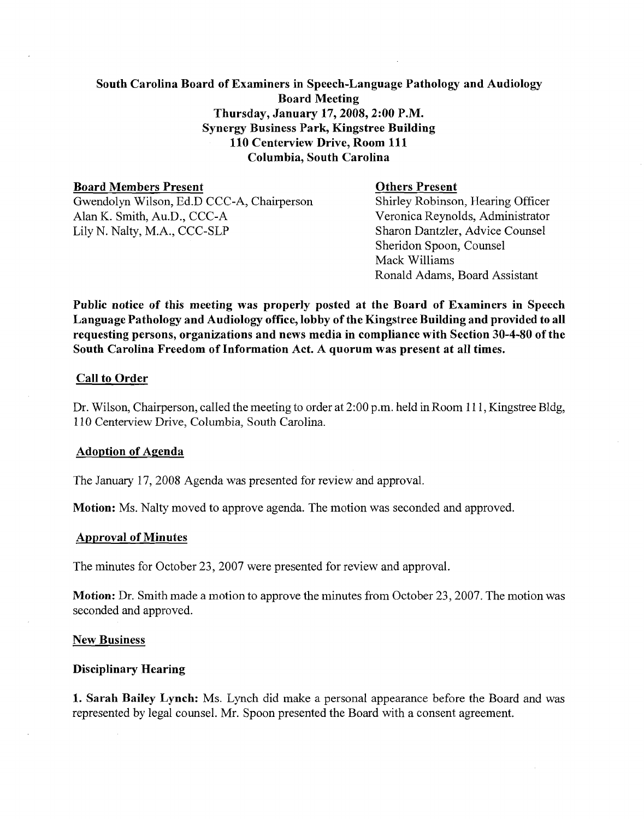# South Carolina Board of Examiners in Speech-Language Pathology and Audiology Board Meeting Thursday, January 17,2008,2:00 P.M. Synergy Business Park, Kingstree Building 110 Centerview Drive, Room 111 Columbia, South Carolina

**Board Members Present**<br>
Gwendolyn Wilson, Ed.D CCC-A, Chairperson<br>
Shirley Robinson, Hearing Officer Gwendolyn Wilson, Ed.D CCC-A, Chairperson<br>Alan K. Smith, Au.D., CCC-A Alan K. Smith, Au.D., CCC-A<br>
Lily N. Nalty, M.A., CCC-SLP<br>
Sharon Dantzler, Advice Counsel

Sharon Dantzler, Advice Counsel Sheridon Spoon, Counsel Mack Williams Ronald Adams, Board Assistant

Public notice of this meeting was properly posted at the Board of Examiners in Speech Language Pathology and Audiology office, lobby of the Kingstree Building and provided to all requesting persons, organizations and news media in compliance with Section 30-4-80 of the South Carolina Freedom of Information Act. A quorum was present at all times.

# Call to Order

Dr. Wilson, Chairperson, called the meeting to order at 2:00 p.m. held in Room 111, Kingstree Bldg, 1 10 Centerview Drive, Columbia, South Carolina.

#### Adoption of Agenda

The January 17,2008 Agenda was presented for review and approval.

Motion: Ms. Nalty moved to approve agenda. The motion was seconded and approved.

#### Approval of Minutes

The minutes for October 23, 2007 were presented for review and approval.

**Motion:** Dr. Smith made a motion to approve the minutes from October 23, 2007. The motion was seconded and approved.

#### **New Business**

# Disciplinary Hearing

1. Sarah Bailey Lynch: Ms. Lynch did make a personal appearance before the Board and was represented by legal counsel. Mr. Spoon presented the Board with a consent agreement.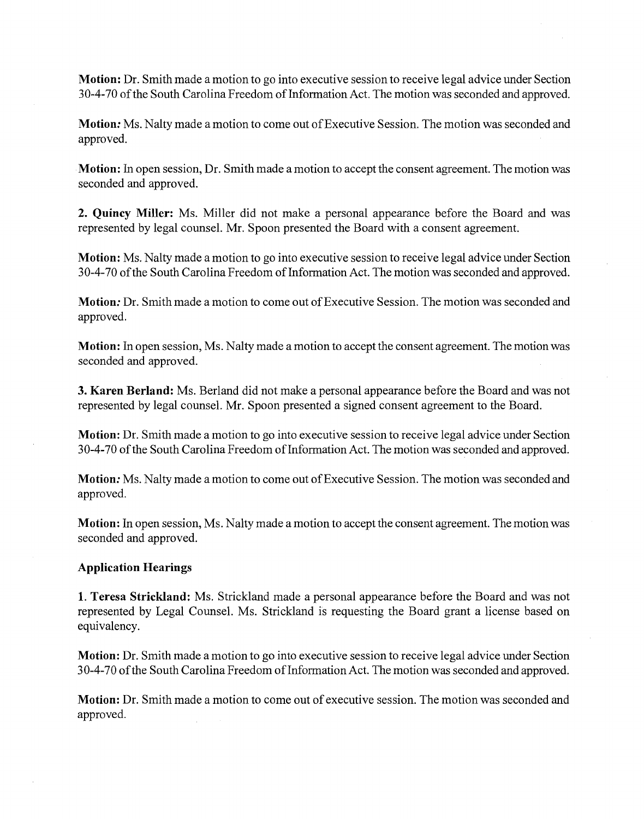**Motion:** Dr. Smith made a motion to go into executive session to receive legal advice under Section 30-4-70 of the South Carolina Freedom of Information Act. The motion was seconded and approved.

**Motion:** Ms. Nalty made a motion to come out of Executive Session. The motion was seconded and approved.

**Motion:** In open session, Dr. Smith made a motion to accept the consent agreement. The motion was seconded and approved.

**2. Quincy Miller:** Ms. Miller did not make a personal appearance before the Board and was represented by legal counsel. Mr. Spoon presented the Board with a consent agreement.

**Motion:** Ms. Nalty made a motion to go into executive session to receive legal advice under Section 30-4-70 of the South Carolina Freedom of Information Act. The motion was seconded and approved.

**Motion:** Dr. Smith made a motion to come out of Executive Session. The motion was seconded and approved.

**Motion:** In open session, Ms. Nalty made a motion to accept the consent agreement. The motion was seconded and approved.

**3. Karen Berland:** Ms. Berland did not make a personal appearance before the Board and was not represented by legal counsel. Mr. Spoon presented a signed consent agreement to the Board.

**Motion:** Dr. Smith made a motion to go into executive session to receive legal advice under Section 30-4-70 of the South Carolina Freedom of Information Act. The motion was seconded and approved.

**Motion:** Ms. Nalty made a motion to come out of Executive Session. The motion was seconded and approved.

**Motion:** In open session, Ms. Nalty made a motion to accept the consent agreement. The motion was seconded and approved.

# **Application Hearings**

**1. Teresa Strickland:** Ms. Strickland made a personal appearance before the Board and was not represented by Legal Counsel. Ms. Strickland is requesting the Board grant a license based on equivalency.

**Motion:** Dr. Smith made a motion to go into executive session to receive legal advice under Section 30-4-70 of the South Carolina Freedom of Information Act. The motion was seconded and approved.

**Motion:** Dr. Smith made a motion to come out of executive session. The motion was seconded and approved.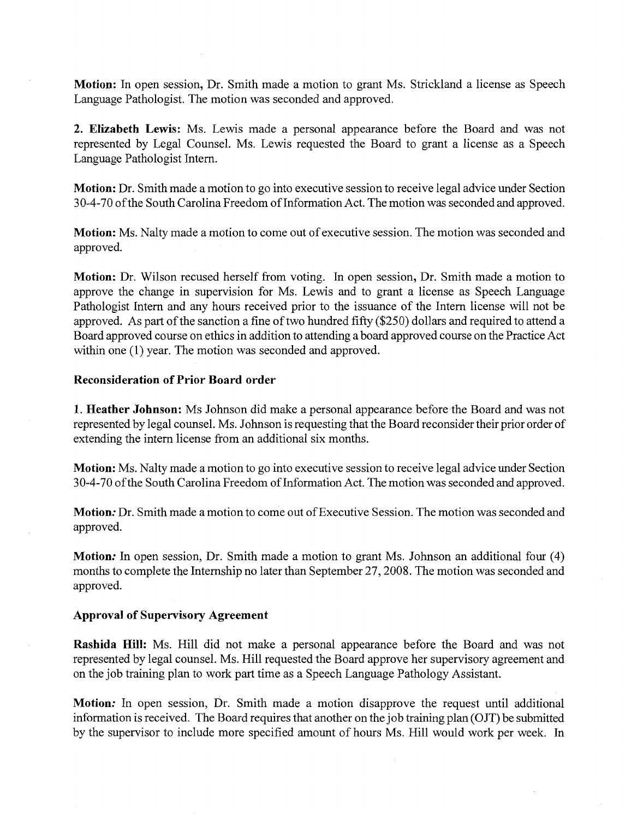**Motion:** In open session, Dr. Smith made a motion to grant Ms. Strickland a license as Speech Language Pathologist. The motion was seconded and approved.

**2. Elizabeth Lewis:** Ms. Lewis made a personal appearance before the Board and was not represented by Legal Counsel. Ms. Lewis requested the Board to grant a license as a Speech Language Pathologist Intern.

**Motion:** Dr. Smith made a motion to go into executive session to receive legal advice under Section 30-4-70 of the South Carolina Freedom of Information Act. The motion was seconded and approved.

**Motion:** Ms. Nalty made a motion to come out of executive session. The motion was seconded and approved.

**Motion:** Dr. Wilson recused herself from voting. In open session, Dr. Smith made a motion to approve the change in supervision for Ms. Lewis and to grant a license as Speech Language Pathologist Intern and any hours received prior to the issuance of the Intern license will not be approved. As part of the sanction a fine of two hundred fifty (\$250) dollars and required to attend a Board approved course on ethics in addition to attending a board approved course on the Practice Act within one (1) year. The motion was seconded and approved.

# **Reconsideration of Prior Board order**

**1. Heather Johnson:** Ms Johnson did make a personal appearance before the Board and was not represented by legal counsel. Ms. Johnson is requesting that the Board reconsider their prior order of extending the intern license from an additional six months.

**Motion:** Ms. Nalty made a motion to go into executive session to receive legal advice under Section 30-4-70 of the South Carolina Freedom of Information Act. The motion was seconded and approved.

**Motion:** Dr. Smith made a motion to come out of Executive Session. The motion was seconded and approved.

**Motion:** In open session, Dr. Smith made a motion to grant Ms. Johnson an additional four (4) months to complete the Internship no later than September 27,2008. The motion was seconded and approved.

# **Approval of Supervisory Agreement**

**Rashida Hill:** Ms. Hill did not make a personal appearance before the Board and was not represented by legal counsel. Ms. Hill requested the Board approve her supervisory agreement and on the job training plan to work part time as a Speech Language Pathology Assistant.

**Motion:** In open session, Dr. Smith made a motion disapprove the request until additional information is received. The Board requires that another on the job training plan (OJT) be submitted by the supervisor to include more specified amount of hours Ms. Hill would work per week. In